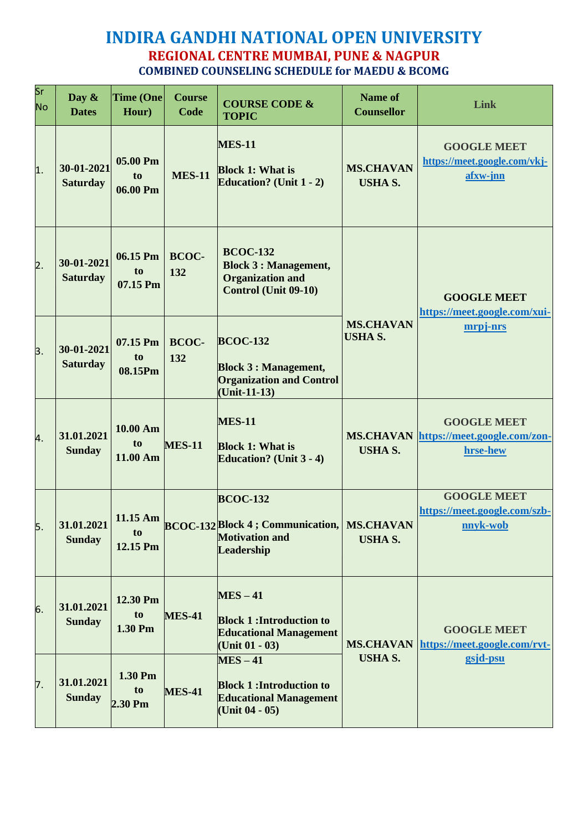## **INDIRA GANDHI NATIONAL OPEN UNIVERSITY REGIONAL CENTRE MUMBAI, PUNE & NAGPUR COMBINED COUNSELING SCHEDULE for MAEDU & BCOMG**

| Sr<br><b>No</b>  | Day $\&$<br><b>Dates</b>      | <b>Time (One</b><br>Hour)              | <b>Course</b><br>Code | <b>COURSE CODE &amp;</b><br><b>TOPIC</b>                                                                       | <b>Name of</b><br><b>Counsellor</b> | <b>Link</b>                                                              |
|------------------|-------------------------------|----------------------------------------|-----------------------|----------------------------------------------------------------------------------------------------------------|-------------------------------------|--------------------------------------------------------------------------|
| $\overline{1}$ . | 30-01-2021<br><b>Saturday</b> | 05.00 Pm<br>t <sub>0</sub><br>06.00 Pm | <b>MES-11</b>         | <b>MES-11</b><br><b>Block 1: What is</b><br><b>Education?</b> (Unit 1 - 2)                                     | <b>MS.CHAVAN</b><br><b>USHA S.</b>  | <b>GOOGLE MEET</b><br>https://meet.google.com/vkj-<br>afxw-jnn           |
| $\overline{2}$ . | 30-01-2021<br><b>Saturday</b> | 06.15 Pm<br>to<br>07.15 Pm             | <b>BCOC-</b><br>132   | <b>BCOC-132</b><br><b>Block 3 : Management,</b><br><b>Organization and</b><br><b>Control (Unit 09-10)</b>      |                                     | <b>GOOGLE MEET</b><br>https://meet.google.com/xui-                       |
| 3.               | 30-01-2021<br><b>Saturday</b> | 07.15 Pm<br>to<br>08.15Pm              | <b>BCOC-</b><br>132   | <b>BCOC-132</b><br><b>Block 3: Management,</b><br><b>Organization and Control</b><br>$(Unit-11-13)$            | <b>MS.CHAVAN</b><br><b>USHA S.</b>  | mrpj-nrs                                                                 |
| 4.               | 31.01.2021<br><b>Sunday</b>   | $10.00 \text{ Am}$<br>to<br>11.00 Am   | <b>MES-11</b>         | <b>MES-11</b><br><b>Block 1: What is</b><br><b>Education?</b> (Unit 3 - 4)                                     | <b>USHA S.</b>                      | <b>GOOGLE MEET</b><br>MS.CHAVAN https://meet.google.com/zon-<br>hrse-hew |
| 5.               | 31.01.2021<br><b>Sunday</b>   | 11.15 Am<br>to<br>12.15 Pm             |                       | <b>BCOC-132</b><br><b>BCOC-132 Block 4 ; Communication,   MS.CHAVAN</b><br><b>Motivation and</b><br>Leadership | <b>USHA S.</b>                      | <b>GOOGLE MEET</b><br>https://meet.google.com/szb-<br>nnvk-wob           |
| 6.               | 31.01.2021<br><b>Sunday</b>   | 12.30 Pm<br>to<br>1.30 Pm              | <b>MES-41</b>         | $MES - 41$<br><b>Block 1: Introduction to</b><br><b>Educational Management</b><br>(Unit $01 - 03$ )            | <b>MS.CHAVAN</b>                    | <b>GOOGLE MEET</b><br>https://meet.google.com/rvt-                       |
| 7.               | 31.01.2021<br><b>Sunday</b>   | 1.30 Pm<br>to<br>2.30 Pm               | <b>MES-41</b>         | $MES - 41$<br><b>Block 1: Introduction to</b><br><b>Educational Management</b><br>(Unit $04 - 05$ )            | <b>USHA S.</b>                      | gsjd-psu                                                                 |